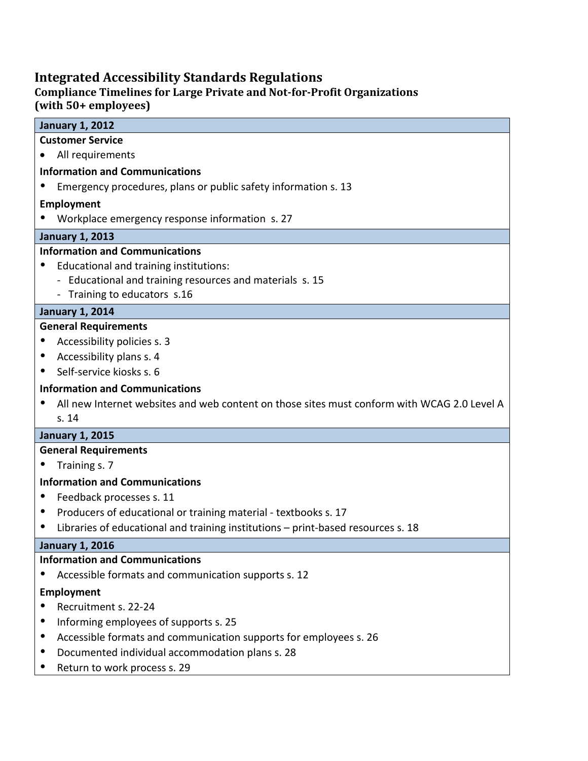# **Integrated Accessibility Standards Regulations**

# **Compliance Timelines for Large Private and Not-for-Profit Organizations (with 50+ employees)**

| <b>January 1, 2012</b>                |                                                                                             |
|---------------------------------------|---------------------------------------------------------------------------------------------|
| <b>Customer Service</b>               |                                                                                             |
|                                       | All requirements                                                                            |
| <b>Information and Communications</b> |                                                                                             |
|                                       | Emergency procedures, plans or public safety information s. 13                              |
|                                       | Employment                                                                                  |
|                                       | Workplace emergency response information s. 27                                              |
|                                       | <b>January 1, 2013</b>                                                                      |
| <b>Information and Communications</b> |                                                                                             |
|                                       | Educational and training institutions:                                                      |
|                                       | - Educational and training resources and materials s. 15                                    |
|                                       | - Training to educators s.16                                                                |
| <b>January 1, 2014</b>                |                                                                                             |
|                                       | <b>General Requirements</b>                                                                 |
|                                       | Accessibility policies s. 3                                                                 |
|                                       | Accessibility plans s. 4                                                                    |
|                                       | Self-service kiosks s. 6                                                                    |
| <b>Information and Communications</b> |                                                                                             |
|                                       | All new Internet websites and web content on those sites must conform with WCAG 2.0 Level A |
|                                       | s.14                                                                                        |
|                                       | <b>January 1, 2015</b>                                                                      |
| <b>General Requirements</b>           |                                                                                             |
|                                       | Training s. 7                                                                               |
|                                       | <b>Information and Communications</b>                                                       |
|                                       |                                                                                             |
|                                       | Feedback processes s. 11                                                                    |
|                                       | Producers of educational or training material - textbooks s. 17                             |
|                                       | Libraries of educational and training institutions - print-based resources s. 18            |
| <b>January 1, 2016</b>                |                                                                                             |
|                                       | <b>Information and Communications</b>                                                       |
|                                       | Accessible formats and communication supports s. 12                                         |
| Employment                            |                                                                                             |
|                                       | Recruitment s. 22-24                                                                        |
|                                       | Informing employees of supports s. 25                                                       |
| $\bullet$                             | Accessible formats and communication supports for employees s. 26                           |
|                                       | Documented individual accommodation plans s. 28                                             |
| $\bullet$                             | Return to work process s. 29                                                                |
|                                       |                                                                                             |